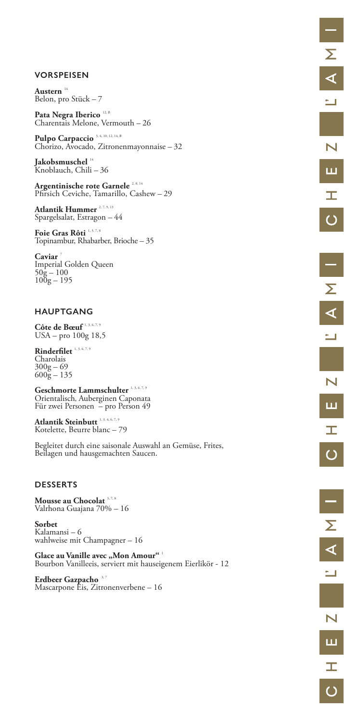## **VORSPEISEN**

Austern<sup>14</sup> Belon, pro Stück – 7

Pata Negra Iberico<sup>12, B</sup> Charentais Melone, Vermouth – 26

Pulpo Carpaccio<sup>3, 4, 10, 12, 14, B</sup> Chorizo, Avocado, Zitronenmayonnaise – 32

Argentinische rote Garnele<sup>2, 8, 14</sup> Pfirsich Ceviche, Tamarillo, Cashew – 29

Atlantik Hummer<sup>2, 7, 9, 13</sup> Spargelsalat, Estragon – 44

**Jakobsmuschel** <sup>14</sup> Knoblauch, Chili – 36

Foie Gras Rôti<sup>1, 3, 7, 8</sup> Topinambur, Rhabarber, Brioche – 35

Caviar<sup>7</sup> Imperial Golden Queen  $50\bar{g} - 100$  $100g - 195$ 

Geschmorte Lammschulter<sup>1, 3, 6, 7, 9</sup> Orientalisch, Auberginen Caponata Für zwei Personen – pro Person 49

Atlantik Steinbutt<sup>1, 3, 4, 6, 7, 9</sup> Kotelette, Beurre blanc – 79

## **HAUPTGANG**

**Côte de Bœuf** 1, 3, 6, 7, 9 USA – pro 100g 18,5

Rinderfilet<sup>1, 3, 6, 7, 9</sup> Charolais  $300g - 69$  $600\overline{g} - 135$ 

Glace au Vanille avec "Mon Amour"<sup>1</sup> Bourbon Vanilleeis, serviert mit hauseigenem Eierlikör - 12

**Erdbeer Gazpacho** 3,7 Mascarpone Eis, Zitronenverbene – 16

Begleitet durch eine saisonale Auswahl an Gemüse, Frites, Beilagen und hausgemachten Saucen.

#### **DESSERTS**

**Mousse au Chocolat** 3, 7, 8 Valrhona Guajana 70% – 16

**Sorbet**  Kalamansi – 6 wahlweise mit Champagner – 16

 $\overline{\phantom{0}}$ 

N

Ш

工

 $\overline{\mathsf{C}}$